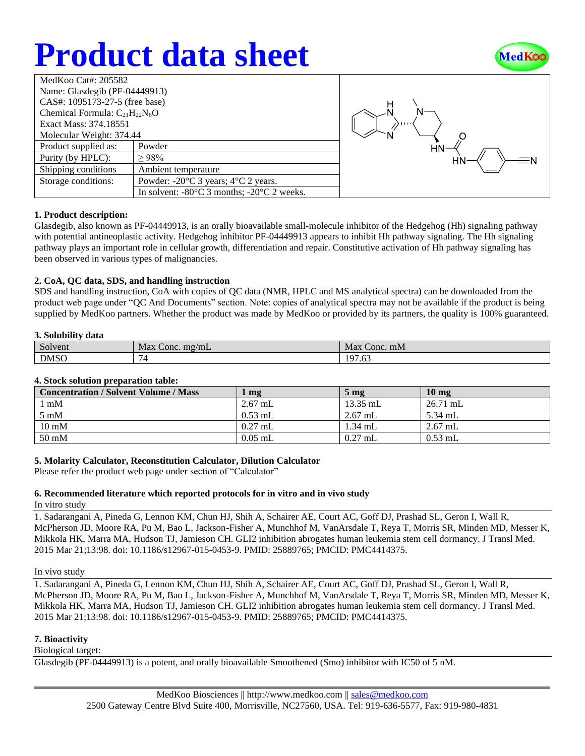## **Product data sheet**



| MedKoo Cat#: 205582                  |                                                                |  |  |  |
|--------------------------------------|----------------------------------------------------------------|--|--|--|
| Name: Glasdegib (PF-04449913)        |                                                                |  |  |  |
| CAS#: 1095173-27-5 (free base)       |                                                                |  |  |  |
| Chemical Formula: $C_{21}H_{22}N_6O$ |                                                                |  |  |  |
| Exact Mass: 374.18551                |                                                                |  |  |  |
| Molecular Weight: 374.44             |                                                                |  |  |  |
| Product supplied as:                 | Powder                                                         |  |  |  |
| Purity (by HPLC):                    | $\geq 98\%$                                                    |  |  |  |
| Shipping conditions                  | Ambient temperature                                            |  |  |  |
| Storage conditions:                  | Powder: $-20^{\circ}$ C 3 years; $4^{\circ}$ C 2 years.        |  |  |  |
|                                      | In solvent: $-80^{\circ}$ C 3 months; $-20^{\circ}$ C 2 weeks. |  |  |  |



#### **1. Product description:**

Glasdegib, also known as PF-04449913, is an orally bioavailable small-molecule inhibitor of the Hedgehog (Hh) signaling pathway with potential antineoplastic activity. Hedgehog inhibitor PF-04449913 appears to inhibit Hh pathway signaling. The Hh signaling pathway plays an important role in cellular growth, differentiation and repair. Constitutive activation of Hh pathway signaling has been observed in various types of malignancies.

#### **2. CoA, QC data, SDS, and handling instruction**

SDS and handling instruction, CoA with copies of QC data (NMR, HPLC and MS analytical spectra) can be downloaded from the product web page under "QC And Documents" section. Note: copies of analytical spectra may not be available if the product is being supplied by MedKoo partners. Whether the product was made by MedKoo or provided by its partners, the quality is 100% guaranteed.

#### **3. Solubility data**

| $\sim$<br>Solvent | Max<br>. $mg/mL$<br>Conc. | Max<br>Conc. mM                            |
|-------------------|---------------------------|--------------------------------------------|
| <b>DMSO</b>       |                           | 07<br>$\overline{\phantom{a}}$<br>$\cdots$ |

#### **4. Stock solution preparation table:**

| <b>Concentration / Solvent Volume / Mass</b> | mg        | 5 <sub>mg</sub> | 10 <sub>mg</sub> |
|----------------------------------------------|-----------|-----------------|------------------|
| l mM                                         | $2.67$ mL | $13.35$ mL      | $26.71$ mL       |
| $5 \text{ mM}$                               | $0.53$ mL | $2.67$ mL       | 5.34 mL          |
| $10 \text{ mM}$                              | $0.27$ mL | $1.34$ mL       | $2.67$ mL        |
| 50 mM                                        | $0.05$ mL | $0.27$ mL       | $0.53$ mL        |

## **5. Molarity Calculator, Reconstitution Calculator, Dilution Calculator**

Please refer the product web page under section of "Calculator"

## **6. Recommended literature which reported protocols for in vitro and in vivo study**

In vitro study

1. Sadarangani A, Pineda G, Lennon KM, Chun HJ, Shih A, Schairer AE, Court AC, Goff DJ, Prashad SL, Geron I, Wall R, McPherson JD, Moore RA, Pu M, Bao L, Jackson-Fisher A, Munchhof M, VanArsdale T, Reya T, Morris SR, Minden MD, Messer K, Mikkola HK, Marra MA, Hudson TJ, Jamieson CH. GLI2 inhibition abrogates human leukemia stem cell dormancy. J Transl Med. 2015 Mar 21;13:98. doi: 10.1186/s12967-015-0453-9. PMID: 25889765; PMCID: PMC4414375.

#### In vivo study

1. Sadarangani A, Pineda G, Lennon KM, Chun HJ, Shih A, Schairer AE, Court AC, Goff DJ, Prashad SL, Geron I, Wall R, McPherson JD, Moore RA, Pu M, Bao L, Jackson-Fisher A, Munchhof M, VanArsdale T, Reya T, Morris SR, Minden MD, Messer K, Mikkola HK, Marra MA, Hudson TJ, Jamieson CH. GLI2 inhibition abrogates human leukemia stem cell dormancy. J Transl Med. 2015 Mar 21;13:98. doi: 10.1186/s12967-015-0453-9. PMID: 25889765; PMCID: PMC4414375.

## **7. Bioactivity**

Biological target:

Glasdegib (PF-04449913) is a potent, and orally bioavailable Smoothened (Smo) inhibitor with IC50 of 5 nM.